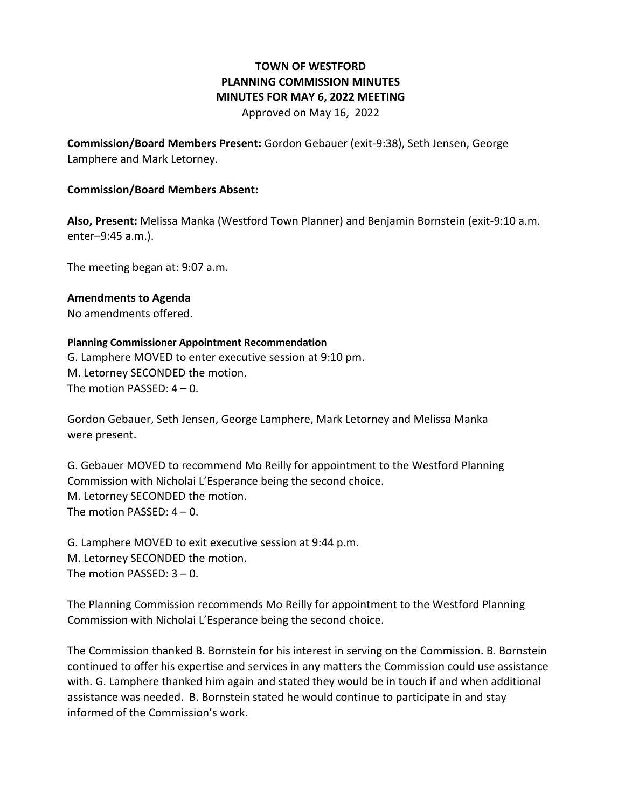## **TOWN OF WESTFORD PLANNING COMMISSION MINUTES MINUTES FOR MAY 6, 2022 MEETING**

Approved on May 16, 2022

**Commission/Board Members Present:** Gordon Gebauer (exit-9:38), Seth Jensen, George Lamphere and Mark Letorney.

## **Commission/Board Members Absent:**

**Also, Present:** Melissa Manka (Westford Town Planner) and Benjamin Bornstein (exit-9:10 a.m. enter–9:45 a.m.).

The meeting began at: 9:07 a.m.

**Amendments to Agenda** No amendments offered.

**Planning Commissioner Appointment Recommendation**  G. Lamphere MOVED to enter executive session at 9:10 pm. M. Letorney SECONDED the motion. The motion PASSED:  $4 - 0$ .

Gordon Gebauer, Seth Jensen, George Lamphere, Mark Letorney and Melissa Manka were present.

G. Gebauer MOVED to recommend Mo Reilly for appointment to the Westford Planning Commission with Nicholai L'Esperance being the second choice. M. Letorney SECONDED the motion. The motion PASSED: 4 – 0.

G. Lamphere MOVED to exit executive session at 9:44 p.m. M. Letorney SECONDED the motion. The motion PASSED: 3 – 0.

The Planning Commission recommends Mo Reilly for appointment to the Westford Planning Commission with Nicholai L'Esperance being the second choice.

The Commission thanked B. Bornstein for his interest in serving on the Commission. B. Bornstein continued to offer his expertise and services in any matters the Commission could use assistance with. G. Lamphere thanked him again and stated they would be in touch if and when additional assistance was needed. B. Bornstein stated he would continue to participate in and stay informed of the Commission's work.